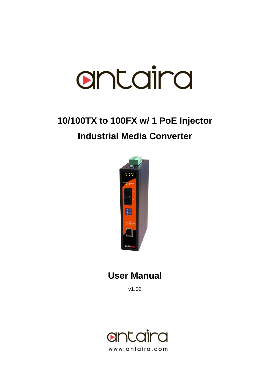

# **10/100TX to 100FX w/ 1 PoE Injector Industrial Media Converter**



### **User Manual**

v1.02

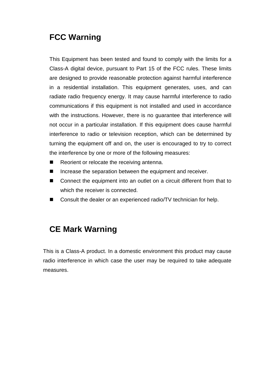### **FCC Warning**

This Equipment has been tested and found to comply with the limits for a Class-A digital device, pursuant to Part 15 of the FCC rules. These limits are designed to provide reasonable protection against harmful interference in a residential installation. This equipment generates, uses, and can radiate radio frequency energy. It may cause harmful interference to radio communications if this equipment is not installed and used in accordance with the instructions. However, there is no guarantee that interference will not occur in a particular installation. If this equipment does cause harmful interference to radio or television reception, which can be determined by turning the equipment off and on, the user is encouraged to try to correct the interference by one or more of the following measures:

- Reorient or relocate the receiving antenna.
- $\blacksquare$  Increase the separation between the equipment and receiver.
- Connect the equipment into an outlet on a circuit different from that to which the receiver is connected.
- Consult the dealer or an experienced radio/TV technician for help.

### **CE Mark Warning**

This is a Class-A product. In a domestic environment this product may cause radio interference in which case the user may be required to take adequate measures.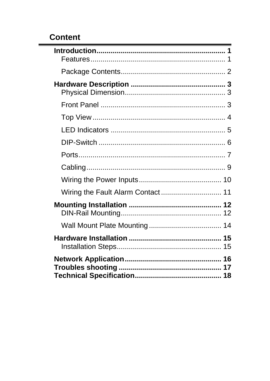### **Content**

| Wiring the Fault Alarm Contact 11 |
|-----------------------------------|
|                                   |
|                                   |
|                                   |
|                                   |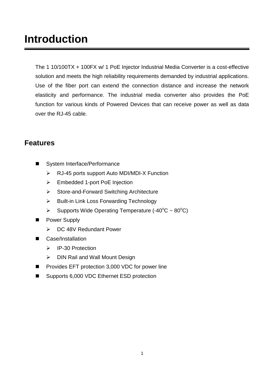## <span id="page-3-0"></span>**Introduction**

The 1 10/100TX + 100FX w/ 1 PoE Injector Industrial Media Converter is a cost-effective solution and meets the high reliability requirements demanded by industrial applications. Use of the fiber port can extend the connection distance and increase the network elasticity and performance. The industrial media converter also provides the PoE function for various kinds of Powered Devices that can receive power as well as data over the RJ-45 cable.

#### <span id="page-3-1"></span>**Features**

- System Interface/Performance
	- RJ-45 ports support Auto MDI/MDI-X Function
	- Embedded 1-port PoE Injection
	- ▶ Store-and-Forward Switching Architecture
	- $\triangleright$  Built-in Link Loss Forwarding Technology
	- > Supports Wide Operating Temperature (-40 $\degree$ C ~ 80 $\degree$ C)
- Power Supply
	- ▶ DC 48V Redundant Power
- Case/Installation
	- P-30 Protection
	- ▶ DIN Rail and Wall Mount Design
- Provides EFT protection 3,000 VDC for power line
- Supports 6,000 VDC Ethernet ESD protection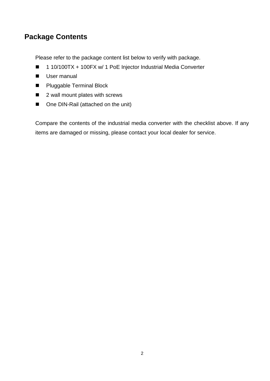#### <span id="page-4-0"></span>**Package Contents**

Please refer to the package content list below to verify with package.

- 1 10/100TX + 100FX w/ 1 PoE Injector Industrial Media Converter
- User manual
- **Pluggable Terminal Block**
- 2 wall mount plates with screws
- One DIN-Rail (attached on the unit)

Compare the contents of the industrial media converter with the checklist above. If any items are damaged or missing, please contact your local dealer for service.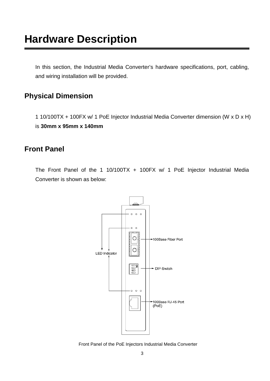<span id="page-5-0"></span>In this section, the Industrial Media Converter's hardware specifications, port, cabling, and wiring installation will be provided.

#### <span id="page-5-1"></span>**Physical Dimension**

1 10/100TX + 100FX w/ 1 PoE Injector Industrial Media Converter dimension (W x D x H) is **30mm x 95mm x 140mm**

#### <span id="page-5-2"></span>**Front Panel**

The Front Panel of the 1 10/100TX + 100FX w/ 1 PoE Injector Industrial Media Converter is shown as below:



Front Panel of the PoE Injectors Industrial Media Converter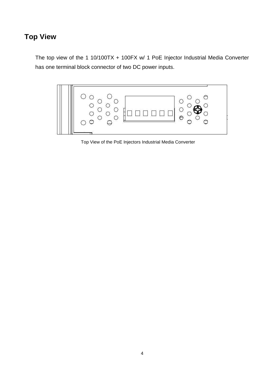### <span id="page-6-0"></span>**Top View**

The top view of the 1 10/100TX + 100FX w/ 1 PoE Injector Industrial Media Converter has one terminal block connector of two DC power inputs.



Top View of the PoE Injectors Industrial Media Converter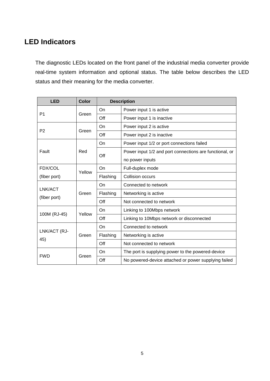#### <span id="page-7-0"></span>**LED Indicators**

The diagnostic LEDs located on the front panel of the industrial media converter provide real-time system information and optional status. The table below describes the LED status and their meaning for the media converter.

| <b>LED</b>              | <b>Color</b> | <b>Description</b> |                                                         |
|-------------------------|--------------|--------------------|---------------------------------------------------------|
| P <sub>1</sub>          | Green        | On                 | Power input 1 is active                                 |
|                         |              | Off                | Power input 1 is inactive                               |
| P <sub>2</sub>          | Green        | On                 | Power input 2 is active                                 |
|                         |              | Off                | Power input 2 is inactive                               |
| Fault                   | Red          | On                 | Power input 1/2 or port connections failed              |
|                         |              | Off                | Power input 1/2 and port connections are functional, or |
|                         |              |                    | no power inputs                                         |
| FDX/COL                 | Yellow       | On                 | Full-duplex mode                                        |
| (fiber port)            |              | Flashing           | Collision occurs                                        |
|                         | Green        | On                 | Connected to network                                    |
| LNK/ACT<br>(fiber port) |              | Flashing           | Networking is active                                    |
|                         |              | Off                | Not connected to network                                |
| 100M (RJ-45)            | Yellow       | On                 | Linking to 100Mbps network                              |
|                         |              | Off                | Linking to 10Mbps network or disconnected               |
| LNK/ACT (RJ-<br>45)     | Green        | On                 | Connected to network                                    |
|                         |              | Flashing           | Networking is active                                    |
|                         |              | Off                | Not connected to network                                |
|                         | Green        | On                 | The port is supplying power to the powered-device       |
| <b>FWD</b>              |              | Off                | No powered-device attached or power supplying failed    |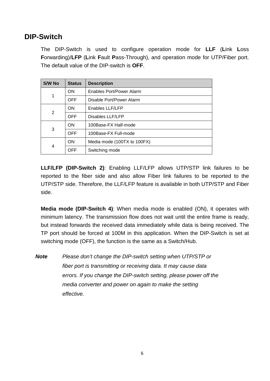#### <span id="page-8-0"></span>**DIP-Switch**

The DIP-Switch is used to configure operation mode for **LLF** (**L**ink **L**oss **F**orwarding)/**LFP** (**L**ink **F**ault **P**ass-Through), and operation mode for UTP/Fiber port. The default value of the DIP-switch is **OFF**.

| S/W No | <b>Status</b> | <b>Description</b>          |
|--------|---------------|-----------------------------|
| 1      | <b>ON</b>     | Enables Port/Power Alarm    |
|        | OFF           | Disable Port/Power Alarm    |
| 2      | ON            | Enables LLF/LFP             |
|        | OFF           | Disables LLF/LFP            |
| 3      | <b>ON</b>     | 100Base-FX Half-mode        |
|        | OFF           | 100Base-FX Full-mode        |
| 4      | <b>ON</b>     | Media mode (100TX to 100FX) |
|        | OFF           | Switching mode              |

**LLF/LFP (DIP-Switch 2)**: Enabling LLF/LFP allows UTP/STP link failures to be reported to the fiber side and also allow Fiber link failures to be reported to the UTP/STP side. Therefore, the LLF/LFP feature is available in both UTP/STP and Fiber side.

**Media mode (DIP-Switch 4)**: When media mode is enabled (ON), it operates with minimum latency. The transmission flow does not wait until the entire frame is ready, but instead forwards the received data immediately while data is being received. The TP port should be forced at 100M in this application. When the DIP-Switch is set at switching mode (OFF), the function is the same as a Switch/Hub.

*Note Please don't change the DIP-switch setting when UTP/STP or fiber port is transmitting or receiving data. It may cause data errors. If you change the DIP-switch setting, please power off the media converter and power on again to make the setting effective.*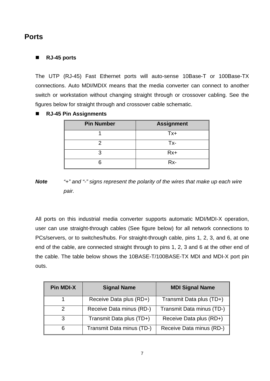#### <span id="page-9-0"></span>**Ports**

#### **RJ-45 ports**

The UTP (RJ-45) Fast Ethernet ports will auto-sense 10Base-T or 100Base-TX connections. Auto MDI/MDIX means that the media converter can connect to another switch or workstation without changing straight through or crossover cabling. See the figures below for straight through and crossover cable schematic.

**RJ-45 Pin Assignments**

| <b>Pin Number</b> | <b>Assignment</b> |
|-------------------|-------------------|
|                   | Tx+               |
|                   | Tx-               |
|                   | $Rx+$             |
|                   | Rx-               |

*Note "+" and "-" signs represent the polarity of the wires that make up each wire pair.*

All ports on this industrial media converter supports automatic MDI/MDI-X operation, user can use straight-through cables (See figure below) for all network connections to PCs/servers, or to switches/hubs. For straight-through cable, pins 1, 2, 3, and 6, at one end of the cable, are connected straight through to pins 1, 2, 3 and 6 at the other end of the cable. The table below shows the 10BASE-T/100BASE-TX MDI and MDI-X port pin outs.

| <b>Pin MDI-X</b> | <b>Signal Name</b>        | <b>MDI Signal Name</b>    |
|------------------|---------------------------|---------------------------|
|                  | Receive Data plus (RD+)   | Transmit Data plus (TD+)  |
|                  | Receive Data minus (RD-)  | Transmit Data minus (TD-) |
|                  | Transmit Data plus (TD+)  | Receive Data plus (RD+)   |
| 6                | Transmit Data minus (TD-) | Receive Data minus (RD-)  |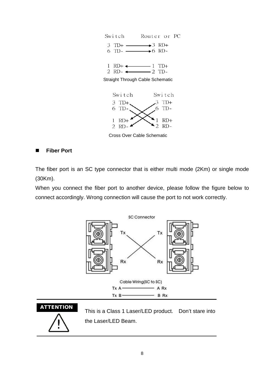

Cross Over Cable Schematic

2 RD-

#### **Fiber Port**

The fiber port is an SC type connector that is either multi mode (2Km) or single mode (30Km).

When you connect the fiber port to another device, please follow the figure below to connect accordingly. Wrong connection will cause the port to not work correctly.





ATTENTION This is a Class 1 Laser/LED product. Don't stare into the Laser/LED Beam.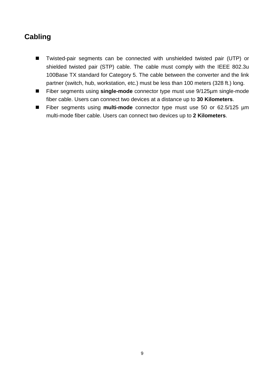### <span id="page-11-0"></span>**Cabling**

- Twisted-pair segments can be connected with unshielded twisted pair (UTP) or shielded twisted pair (STP) cable. The cable must comply with the IEEE 802.3u 100Base TX standard for Category 5. The cable between the converter and the link partner (switch, hub, workstation, etc.) must be less than 100 meters (328 ft.) long.
- Fiber segments using **single-mode** connector type must use 9/125µm single-mode fiber cable. Users can connect two devices at a distance up to **30 Kilometers**.
- Fiber segments using **multi-mode** connector type must use 50 or 62.5/125 µm multi-mode fiber cable. Users can connect two devices up to **2 Kilometers**.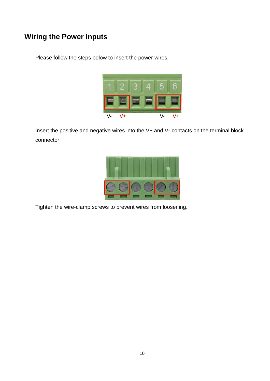#### <span id="page-12-0"></span>**Wiring the Power Inputs**

Please follow the steps below to insert the power wires.



Insert the positive and negative wires into the V+ and V- contacts on the terminal block connector.



Tighten the wire-clamp screws to prevent wires from loosening.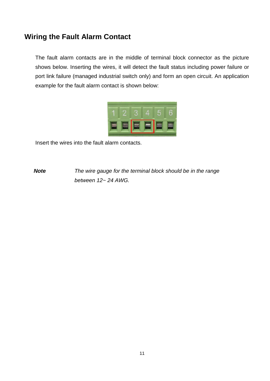#### <span id="page-13-0"></span>**Wiring the Fault Alarm Contact**

The fault alarm contacts are in the middle of terminal block connector as the picture shows below. Inserting the wires, it will detect the fault status including power failure or port link failure (managed industrial switch only) and form an open circuit. An application example for the fault alarm contact is shown below:



Insert the wires into the fault alarm contacts.

*Note The wire gauge for the terminal block should be in the range between 12~ 24 AWG.*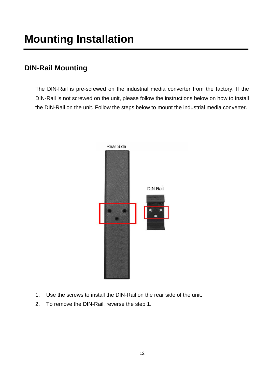# <span id="page-14-0"></span>**Mounting Installation**

#### <span id="page-14-1"></span>**DIN-Rail Mounting**

The DIN-Rail is pre-screwed on the industrial media converter from the factory. If the DIN-Rail is not screwed on the unit, please follow the instructions below on how to install the DIN-Rail on the unit. Follow the steps below to mount the industrial media converter.



- 1. Use the screws to install the DIN-Rail on the rear side of the unit.
- 2. To remove the DIN-Rail, reverse the step 1.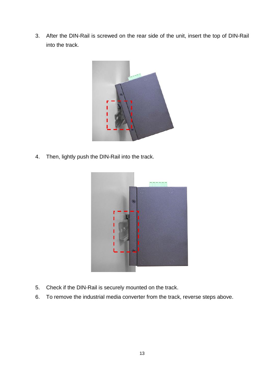3. After the DIN-Rail is screwed on the rear side of the unit, insert the top of DIN-Rail into the track.



4. Then, lightly push the DIN-Rail into the track.



- 5. Check if the DIN-Rail is securely mounted on the track.
- 6. To remove the industrial media converter from the track, reverse steps above.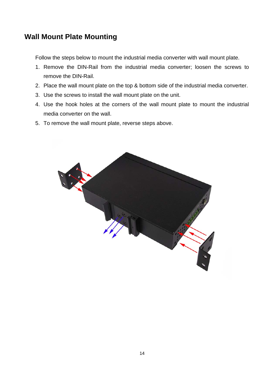#### <span id="page-16-0"></span>**Wall Mount Plate Mounting**

Follow the steps below to mount the industrial media converter with wall mount plate.

- 1. Remove the DIN-Rail from the industrial media converter; loosen the screws to remove the DIN-Rail.
- 2. Place the wall mount plate on the top & bottom side of the industrial media converter.
- 3. Use the screws to install the wall mount plate on the unit.
- 4. Use the hook holes at the corners of the wall mount plate to mount the industrial media converter on the wall.
- 5. To remove the wall mount plate, reverse steps above.

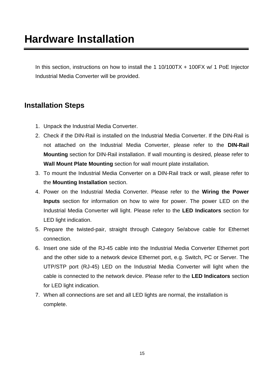<span id="page-17-0"></span>In this section, instructions on how to install the 1 10/100TX + 100FX w/ 1 PoE Injector Industrial Media Converter will be provided.

#### <span id="page-17-1"></span>**Installation Steps**

- 1. Unpack the Industrial Media Converter.
- 2. Check if the DIN-Rail is installed on the Industrial Media Converter. If the DIN-Rail is not attached on the Industrial Media Converter, please refer to the **DIN-Rail Mounting** section for DIN-Rail installation. If wall mounting is desired, please refer to **Wall Mount Plate Mounting** section for wall mount plate installation.
- 3. To mount the Industrial Media Converter on a DIN-Rail track or wall, please refer to the **Mounting Installation** section.
- 4. Power on the Industrial Media Converter. Please refer to the **Wiring the Power Inputs** section for information on how to wire for power. The power LED on the Industrial Media Converter will light. Please refer to the **LED Indicators** section for LED light indication.
- 5. Prepare the twisted-pair, straight through Category 5e/above cable for Ethernet connection.
- 6. Insert one side of the RJ-45 cable into the Industrial Media Converter Ethernet port and the other side to a network device Ethernet port, e.g. Switch, PC or Server. The UTP/STP port (RJ-45) LED on the Industrial Media Converter will light when the cable is connected to the network device. Please refer to the **LED Indicators** section for LED light indication.
- 7. When all connections are set and all LED lights are normal, the installation is complete.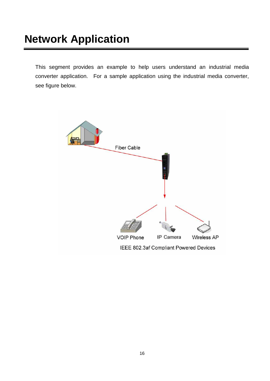## <span id="page-18-0"></span>**Network Application**

This segment provides an example to help users understand an industrial media converter application. For a sample application using the industrial media converter, see figure below.

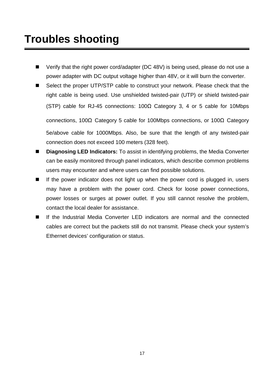- <span id="page-19-0"></span>■ Verify that the right power cord/adapter (DC 48V) is being used, please do not use a power adapter with DC output voltage higher than 48V, or it will burn the converter.
- Select the proper UTP/STP cable to construct your network. Please check that the right cable is being used. Use unshielded twisted-pair (UTP) or shield twisted-pair (STP) cable for RJ-45 connections: 100Ω Category 3, 4 or 5 cable for 10Mbps connections, 100Ω Category 5 cable for 100Mbps connections, or 100Ω Category

5e/above cable for 1000Mbps. Also, be sure that the length of any twisted-pair connection does not exceed 100 meters (328 feet).

- **Diagnosing LED Indicators:** To assist in identifying problems, the Media Converter can be easily monitored through panel indicators, which describe common problems users may encounter and where users can find possible solutions.
- $\blacksquare$  If the power indicator does not light up when the power cord is plugged in, users may have a problem with the power cord. Check for loose power connections, power losses or surges at power outlet. If you still cannot resolve the problem, contact the local dealer for assistance.
- If the Industrial Media Converter LED indicators are normal and the connected cables are correct but the packets still do not transmit. Please check your system's Ethernet devices' configuration or status.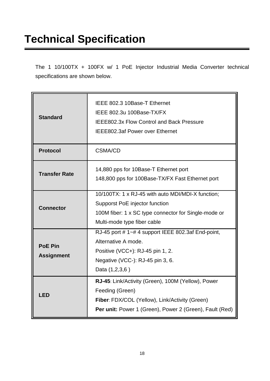# <span id="page-20-0"></span>**Technical Specification**

The 1 10/100TX + 100FX w/ 1 PoE Injector Industrial Media Converter technical specifications are shown below.

| <b>Standard</b>                     | IEEE 802.3 10Base-T Ethernet<br>IEEE 802.3u 100Base-TX/FX<br>IEEE802.3x Flow Control and Back Pressure<br><b>IEEE802.3af Power over Ethernet</b>                                   |
|-------------------------------------|------------------------------------------------------------------------------------------------------------------------------------------------------------------------------------|
| <b>Protocol</b>                     | <b>CSMA/CD</b>                                                                                                                                                                     |
| <b>Transfer Rate</b>                | 14,880 pps for 10Base-T Ethernet port<br>148,800 pps for 100Base-TX/FX Fast Ethernet port                                                                                          |
| <b>Connector</b>                    | 10/100TX: 1 x RJ-45 with auto MDI/MDI-X function;<br>Supporst PoE injector function<br>100M fiber: 1 x SC type connector for Single-mode or<br>Multi-mode type fiber cable         |
| <b>PoE Pin</b><br><b>Assignment</b> | RJ-45 port #1~#4 support IEEE 802.3af End-point,<br>Alternative A mode.<br>Positive (VCC+): RJ-45 pin 1, 2.<br>Negative (VCC-): RJ-45 pin 3, 6.<br>Data (1,2,3,6)                  |
| <b>LED</b>                          | RJ-45: Link/Activity (Green), 100M (Yellow), Power<br>Feeding (Green)<br>Fiber: FDX/COL (Yellow), Link/Activity (Green)<br>Per unit: Power 1 (Green), Power 2 (Green), Fault (Red) |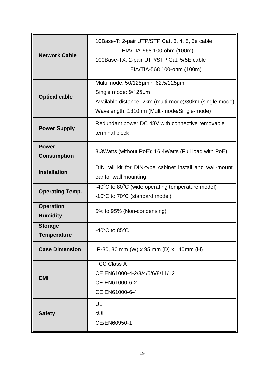| <b>Network Cable</b>                 | 10Base-T: 2-pair UTP/STP Cat. 3, 4, 5, 5e cable<br>EIA/TIA-568 100-ohm (100m)<br>100Base-TX: 2-pair UTP/STP Cat. 5/5E cable<br>EIA/TIA-568 100-ohm (100m)                        |
|--------------------------------------|----------------------------------------------------------------------------------------------------------------------------------------------------------------------------------|
| <b>Optical cable</b>                 | Multi mode: $50/125 \mu m \sim 62.5/125 \mu m$<br>Single mode: 9/125µm<br>Available distance: 2km (multi-mode)/30km (single-mode)<br>Wavelength: 1310nm (Multi-mode/Single-mode) |
| <b>Power Supply</b>                  | Redundant power DC 48V with connective removable<br>terminal block                                                                                                               |
| <b>Power</b><br><b>Consumption</b>   | 3.3Watts (without PoE); 16.4Watts (Full load with PoE)                                                                                                                           |
| <b>Installation</b>                  | DIN rail kit for DIN-type cabinet install and wall-mount<br>ear for wall mounting                                                                                                |
| <b>Operating Temp.</b>               | -40°C to 80°C (wide operating temperature model)<br>$-10^{\circ}$ C to 70 $^{\circ}$ C (standard model)                                                                          |
| <b>Operation</b><br><b>Humidity</b>  | 5% to 95% (Non-condensing)                                                                                                                                                       |
| <b>Storage</b><br><b>Temperature</b> | -40 $^{\circ}$ C to 85 $^{\circ}$ C                                                                                                                                              |
| <b>Case Dimension</b>                | IP-30, 30 mm (W) x 95 mm (D) x 140mm (H)                                                                                                                                         |
| <b>EMI</b>                           | <b>FCC Class A</b><br>CE EN61000-4-2/3/4/5/6/8/11/12<br>CE EN61000-6-2<br>CE EN61000-6-4                                                                                         |
| <b>Safety</b>                        | UL<br><b>cUL</b><br>CE/EN60950-1                                                                                                                                                 |